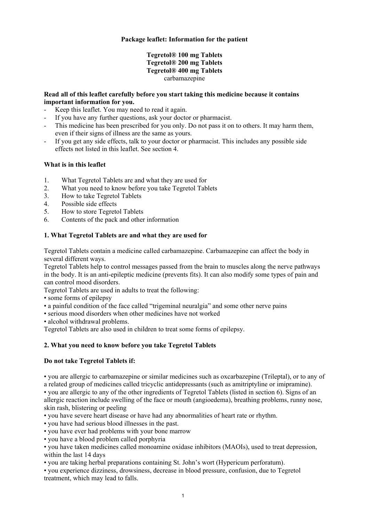## **Package leaflet: Information for the patient**

# **Tegretol® 100 mg Tablets Tegretol® 200 mg Tablets Tegretol® 400 mg Tablets**  carbamazepine

## **Read all of this leaflet carefully before you start taking this medicine because it contains important information for you.**

- Keep this leaflet. You may need to read it again.
- If you have any further questions, ask your doctor or pharmacist.
- This medicine has been prescribed for you only. Do not pass it on to others. It may harm them, even if their signs of illness are the same as yours.
- If you get any side effects, talk to your doctor or pharmacist. This includes any possible side effects not listed in this leaflet. See section 4.

## **What is in this leaflet**

- 1. What Tegretol Tablets are and what they are used for
- 2. What you need to know before you take Tegretol Tablets
- 3. How to take Tegretol Tablets
- 4. Possible side effects
- 5. How to store Tegretol Tablets
- 6. Contents of the pack and other information

## **1. What Tegretol Tablets are and what they are used for**

Tegretol Tablets contain a medicine called carbamazepine. Carbamazepine can affect the body in several different ways.

Tegretol Tablets help to control messages passed from the brain to muscles along the nerve pathways in the body. It is an anti-epileptic medicine (prevents fits). It can also modify some types of pain and can control mood disorders.

Tegretol Tablets are used in adults to treat the following:

- some forms of epilepsy
- a painful condition of the face called "trigeminal neuralgia" and some other nerve pains
- serious mood disorders when other medicines have not worked
- alcohol withdrawal problems.

Tegretol Tablets are also used in children to treat some forms of epilepsy.

# **2. What you need to know before you take Tegretol Tablets**

#### **Do not take Tegretol Tablets if:**

• you are allergic to carbamazepine or similar medicines such as oxcarbazepine (Trileptal), or to any of a related group of medicines called tricyclic antidepressants (such as amitriptyline or imipramine). • you are allergic to any of the other ingredients of Tegretol Tablets (listed in section 6). Signs of an allergic reaction include swelling of the face or mouth (angioedema), breathing problems, runny nose, skin rash, blistering or peeling

- you have severe heart disease or have had any abnormalities of heart rate or rhythm.
- you have had serious blood illnesses in the past.
- you have ever had problems with your bone marrow

• you have a blood problem called porphyria

• you have taken medicines called monoamine oxidase inhibitors (MAOIs), used to treat depression, within the last 14 days

• you are taking herbal preparations containing St. John's wort (Hypericum perforatum).

• you experience dizziness, drowsiness, decrease in blood pressure, confusion, due to Tegretol treatment, which may lead to falls.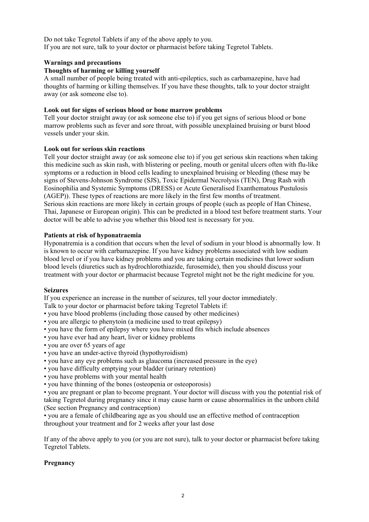Do not take Tegretol Tablets if any of the above apply to you. If you are not sure, talk to your doctor or pharmacist before taking Tegretol Tablets.

## **Warnings and precautions**

### **Thoughts of harming or killing yourself**

A small number of people being treated with anti-epileptics, such as carbamazepine, have had thoughts of harming or killing themselves. If you have these thoughts, talk to your doctor straight away (or ask someone else to).

## **Look out for signs of serious blood or bone marrow problems**

Tell your doctor straight away (or ask someone else to) if you get signs of serious blood or bone marrow problems such as fever and sore throat, with possible unexplained bruising or burst blood vessels under your skin.

## **Look out for serious skin reactions**

Tell your doctor straight away (or ask someone else to) if you get serious skin reactions when taking this medicine such as skin rash, with blistering or peeling, mouth or genital ulcers often with flu-like symptoms or a reduction in blood cells leading to unexplained bruising or bleeding (these may be signs of Stevens-Johnson Syndrome (SJS), Toxic Epidermal Necrolysis (TEN), Drug Rash with Eosinophilia and Systemic Symptoms (DRESS) or Acute Generalised Exanthematous Pustulosis (AGEP)). These types of reactions are more likely in the first few months of treatment. Serious skin reactions are more likely in certain groups of people (such as people of Han Chinese, Thai, Japanese or European origin). This can be predicted in a blood test before treatment starts. Your doctor will be able to advise you whether this blood test is necessary for you.

## **Patients at risk of hyponatraemia**

Hyponatremia is a condition that occurs when the level of sodium in your blood is abnormally low. It is known to occur with carbamazepine. If you have kidney problems associated with low sodium blood level or if you have kidney problems and you are taking certain medicines that lower sodium blood levels (diuretics such as hydrochlorothiazide, furosemide), then you should discuss your treatment with your doctor or pharmacist because Tegretol might not be the right medicine for you.

#### **Seizures**

If you experience an increase in the number of seizures, tell your doctor immediately.

Talk to your doctor or pharmacist before taking Tegretol Tablets if:

- you have blood problems (including those caused by other medicines)
- you are allergic to phenytoin (a medicine used to treat epilepsy)
- you have the form of epilepsy where you have mixed fits which include absences
- you have ever had any heart, liver or kidney problems
- you are over 65 years of age
- you have an under-active thyroid (hypothyroidism)
- you have any eye problems such as glaucoma (increased pressure in the eye)
- you have difficulty emptying your bladder (urinary retention)
- you have problems with your mental health
- you have thinning of the bones (osteopenia or osteoporosis)

• you are pregnant or plan to become pregnant. Your doctor will discuss with you the potential risk of taking Tegretol during pregnancy since it may cause harm or cause abnormalities in the unborn child (See section Pregnancy and contraception)

• you are a female of childbearing age as you should use an effective method of contraception throughout your treatment and for 2 weeks after your last dose

If any of the above apply to you (or you are not sure), talk to your doctor or pharmacist before taking Tegretol Tablets.

# **Pregnancy**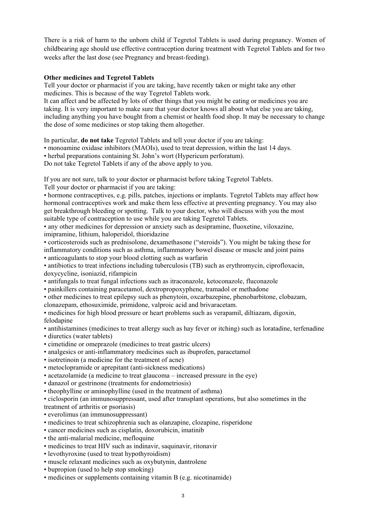There is a risk of harm to the unborn child if Tegretol Tablets is used during pregnancy. Women of childbearing age should use effective contraception during treatment with Tegretol Tablets and for two weeks after the last dose (see Pregnancy and breast-feeding).

## **Other medicines and Tegretol Tablets**

Tell your doctor or pharmacist if you are taking, have recently taken or might take any other medicines. This is because of the way Tegretol Tablets work.

It can affect and be affected by lots of other things that you might be eating or medicines you are taking. It is very important to make sure that your doctor knows all about what else you are taking, including anything you have bought from a chemist or health food shop. It may be necessary to change the dose of some medicines or stop taking them altogether.

In particular, **do not take** Tegretol Tablets and tell your doctor if you are taking:

• monoamine oxidase inhibitors (MAOIs), used to treat depression, within the last 14 days.

• herbal preparations containing St. John's wort (Hypericum perforatum).

Do not take Tegretol Tablets if any of the above apply to you.

If you are not sure, talk to your doctor or pharmacist before taking Tegretol Tablets.

Tell your doctor or pharmacist if you are taking:

• hormone contraceptives, e.g. pills, patches, injections or implants. Tegretol Tablets may affect how hormonal contraceptives work and make them less effective at preventing pregnancy. You may also get breakthrough bleeding or spotting. Talk to your doctor, who will discuss with you the most suitable type of contraception to use while you are taking Tegretol Tablets.

• any other medicines for depression or anxiety such as desipramine, fluoxetine, viloxazine, imipramine, lithium, haloperidol, thioridazine

• corticosteroids such as prednisolone, dexamethasone ("steroids"). You might be taking these for inflammatory conditions such as asthma, inflammatory bowel disease or muscle and joint pains • anticoagulants to stop your blood clotting such as warfarin

• antibiotics to treat infections including tuberculosis (TB) such as erythromycin, ciprofloxacin, doxycycline, isoniazid, rifampicin

• antifungals to treat fungal infections such as itraconazole, ketoconazole, fluconazole

• painkillers containing paracetamol, dextropropoxyphene, tramadol or methadone

• other medicines to treat epilepsy such as phenytoin, oxcarbazepine, phenobarbitone, clobazam,

clonazepam, ethosuximide, primidone, valproic acid and brivaracetam.

• medicines for high blood pressure or heart problems such as verapamil, diltiazam, digoxin, felodapine

• antihistamines (medicines to treat allergy such as hay fever or itching) such as loratadine, terfenadine

- diuretics (water tablets)
- cimetidine or omeprazole (medicines to treat gastric ulcers)
- analgesics or anti-inflammatory medicines such as ibuprofen, paracetamol
- isotretinoin (a medicine for the treatment of acne)
- metoclopramide or aprepitant (anti-sickness medications)
- acetazolamide (a medicine to treat glaucoma increased pressure in the eye)
- danazol or gestrinone (treatments for endometriosis)
- theophylline or aminophylline (used in the treatment of asthma)

• ciclosporin (an immunosuppressant, used after transplant operations, but also sometimes in the treatment of arthritis or psoriasis)

- everolimus (an immunosuppressant)
- medicines to treat schizophrenia such as olanzapine, clozapine, risperidone
- cancer medicines such as cisplatin, doxorubicin, imatinib
- the anti-malarial medicine, mefloquine
- medicines to treat HIV such as indinavir, saquinavir, ritonavir
- levothyroxine (used to treat hypothyroidism)
- muscle relaxant medicines such as oxybutynin, dantrolene
- bupropion (used to help stop smoking)
- medicines or supplements containing vitamin B (e.g. nicotinamide)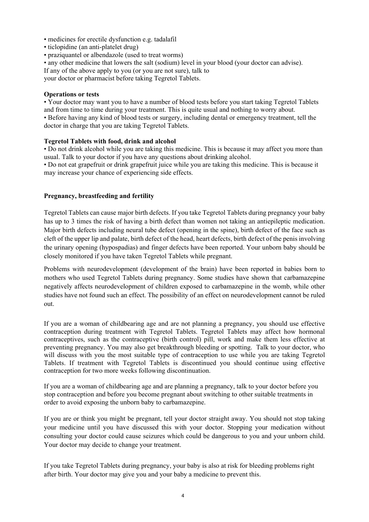- medicines for erectile dysfunction e.g. tadalafil
- ticlopidine (an anti-platelet drug)
- praziquantel or albendazole (used to treat worms)
- any other medicine that lowers the salt (sodium) level in your blood (your doctor can advise).

If any of the above apply to you (or you are not sure), talk to

your doctor or pharmacist before taking Tegretol Tablets.

### **Operations or tests**

• Your doctor may want you to have a number of blood tests before you start taking Tegretol Tablets and from time to time during your treatment. This is quite usual and nothing to worry about. • Before having any kind of blood tests or surgery, including dental or emergency treatment, tell the doctor in charge that you are taking Tegretol Tablets.

## **Tegretol Tablets with food, drink and alcohol**

• Do not drink alcohol while you are taking this medicine. This is because it may affect you more than usual. Talk to your doctor if you have any questions about drinking alcohol.

• Do not eat grapefruit or drink grapefruit juice while you are taking this medicine. This is because it may increase your chance of experiencing side effects.

## **Pregnancy, breastfeeding and fertility**

Tegretol Tablets can cause major birth defects. If you take Tegretol Tablets during pregnancy your baby has up to 3 times the risk of having a birth defect than women not taking an antiepileptic medication. Major birth defects including neural tube defect (opening in the spine), birth defect of the face such as cleft of the upper lip and palate, birth defect of the head, heart defects, birth defect of the penis involving the urinary opening (hypospadias) and finger defects have been reported. Your unborn baby should be closely monitored if you have taken Tegretol Tablets while pregnant.

Problems with neurodevelopment (development of the brain) have been reported in babies born to mothers who used Tegretol Tablets during pregnancy. Some studies have shown that carbamazepine negatively affects neurodevelopment of children exposed to carbamazepine in the womb, while other studies have not found such an effect. The possibility of an effect on neurodevelopment cannot be ruled out.

If you are a woman of childbearing age and are not planning a pregnancy, you should use effective contraception during treatment with Tegretol Tablets. Tegretol Tablets may affect how hormonal contraceptives, such as the contraceptive (birth control) pill, work and make them less effective at preventing pregnancy. You may also get breakthrough bleeding or spotting. Talk to your doctor, who will discuss with you the most suitable type of contraception to use while you are taking Tegretol Tablets. If treatment with Tegretol Tablets is discontinued you should continue using effective contraception for two more weeks following discontinuation.

If you are a woman of childbearing age and are planning a pregnancy, talk to your doctor before you stop contraception and before you become pregnant about switching to other suitable treatments in order to avoid exposing the unborn baby to carbamazepine.

If you are or think you might be pregnant, tell your doctor straight away. You should not stop taking your medicine until you have discussed this with your doctor. Stopping your medication without consulting your doctor could cause seizures which could be dangerous to you and your unborn child. Your doctor may decide to change your treatment.

If you take Tegretol Tablets during pregnancy, your baby is also at risk for bleeding problems right after birth. Your doctor may give you and your baby a medicine to prevent this.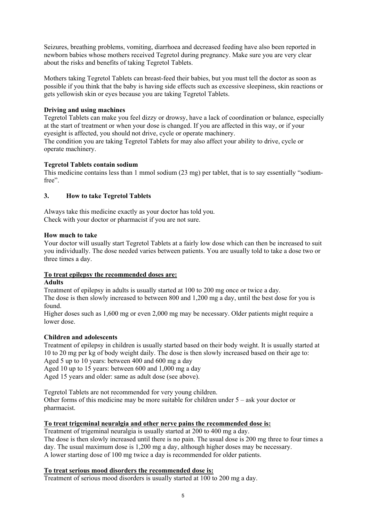Seizures, breathing problems, vomiting, diarrhoea and decreased feeding have also been reported in newborn babies whose mothers received Tegretol during pregnancy. Make sure you are very clear about the risks and benefits of taking Tegretol Tablets.

Mothers taking Tegretol Tablets can breast-feed their babies, but you must tell the doctor as soon as possible if you think that the baby is having side effects such as excessive sleepiness, skin reactions or gets yellowish skin or eyes because you are taking Tegretol Tablets.

# **Driving and using machines**

Tegretol Tablets can make you feel dizzy or drowsy, have a lack of coordination or balance, especially at the start of treatment or when your dose is changed. If you are affected in this way, or if your eyesight is affected, you should not drive, cycle or operate machinery. The condition you are taking Tegretol Tablets for may also affect your ability to drive, cycle or operate machinery.

# **Tegretol Tablets contain sodium**

This medicine contains less than 1 mmol sodium (23 mg) per tablet, that is to say essentially "sodiumfree".

# **3. How to take Tegretol Tablets**

Always take this medicine exactly as your doctor has told you. Check with your doctor or pharmacist if you are not sure.

## **How much to take**

Your doctor will usually start Tegretol Tablets at a fairly low dose which can then be increased to suit you individually. The dose needed varies between patients. You are usually told to take a dose two or three times a day.

# **To treat epilepsy the recommended doses are:**

#### **Adults**

Treatment of epilepsy in adults is usually started at 100 to 200 mg once or twice a day.

The dose is then slowly increased to between 800 and 1,200 mg a day, until the best dose for you is found.

Higher doses such as 1,600 mg or even 2,000 mg may be necessary. Older patients might require a lower dose.

# **Children and adolescents**

Treatment of epilepsy in children is usually started based on their body weight. It is usually started at 10 to 20 mg per kg of body weight daily. The dose is then slowly increased based on their age to: Aged 5 up to 10 years: between 400 and 600 mg a day

Aged 10 up to 15 years: between 600 and 1,000 mg a day

Aged 15 years and older: same as adult dose (see above).

Tegretol Tablets are not recommended for very young children.

Other forms of this medicine may be more suitable for children under  $5 -$  ask your doctor or pharmacist.

# **To treat trigeminal neuralgia and other nerve pains the recommended dose is:**

Treatment of trigeminal neuralgia is usually started at 200 to 400 mg a day.

The dose is then slowly increased until there is no pain. The usual dose is 200 mg three to four times a day. The usual maximum dose is 1,200 mg a day, although higher doses may be necessary. A lower starting dose of 100 mg twice a day is recommended for older patients.

# **To treat serious mood disorders the recommended dose is:**

Treatment of serious mood disorders is usually started at 100 to 200 mg a day.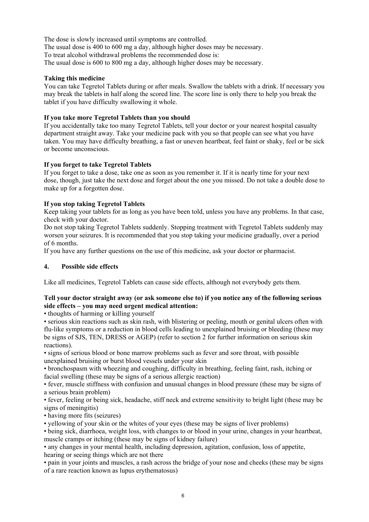The dose is slowly increased until symptoms are controlled. The usual dose is 400 to 600 mg a day, although higher doses may be necessary. To treat alcohol withdrawal problems the recommended dose is: The usual dose is 600 to 800 mg a day, although higher doses may be necessary.

# **Taking this medicine**

You can take Tegretol Tablets during or after meals. Swallow the tablets with a drink. If necessary you may break the tablets in half along the scored line. The score line is only there to help you break the tablet if you have difficulty swallowing it whole.

# **If you take more Tegretol Tablets than you should**

If you accidentally take too many Tegretol Tablets, tell your doctor or your nearest hospital casualty department straight away. Take your medicine pack with you so that people can see what you have taken. You may have difficulty breathing, a fast or uneven heartbeat, feel faint or shaky, feel or be sick or become unconscious.

## **If you forget to take Tegretol Tablets**

If you forget to take a dose, take one as soon as you remember it. If it is nearly time for your next dose, though, just take the next dose and forget about the one you missed. Do not take a double dose to make up for a forgotten dose.

# **If you stop taking Tegretol Tablets**

Keep taking your tablets for as long as you have been told, unless you have any problems. In that case, check with your doctor.

Do not stop taking Tegretol Tablets suddenly. Stopping treatment with Tegretol Tablets suddenly may worsen your seizures. It is recommended that you stop taking your medicine gradually, over a period of 6 months.

If you have any further questions on the use of this medicine, ask your doctor or pharmacist.

#### **4. Possible side effects**

Like all medicines, Tegretol Tablets can cause side effects, although not everybody gets them.

## **Tell your doctor straight away (or ask someone else to) if you notice any of the following serious side effects – you may need urgent medical attention:**

• thoughts of harming or killing yourself

• serious skin reactions such as skin rash, with blistering or peeling, mouth or genital ulcers often with flu-like symptoms or a reduction in blood cells leading to unexplained bruising or bleeding (these may be signs of SJS, TEN, DRESS or AGEP) (refer to section 2 for further information on serious skin reactions).

• signs of serious blood or bone marrow problems such as fever and sore throat, with possible unexplained bruising or burst blood vessels under your skin

• bronchospasm with wheezing and coughing, difficulty in breathing, feeling faint, rash, itching or facial swelling (these may be signs of a serious allergic reaction)

• fever, muscle stiffness with confusion and unusual changes in blood pressure (these may be signs of a serious brain problem)

• fever, feeling or being sick, headache, stiff neck and extreme sensitivity to bright light (these may be signs of meningitis)

• having more fits (seizures)

• yellowing of your skin or the whites of your eyes (these may be signs of liver problems)

• being sick, diarrhoea, weight loss, with changes to or blood in your urine, changes in your heartbeat, muscle cramps or itching (these may be signs of kidney failure)

• any changes in your mental health, including depression, agitation, confusion, loss of appetite, hearing or seeing things which are not there

• pain in your joints and muscles, a rash across the bridge of your nose and cheeks (these may be signs of a rare reaction known as lupus erythematosus)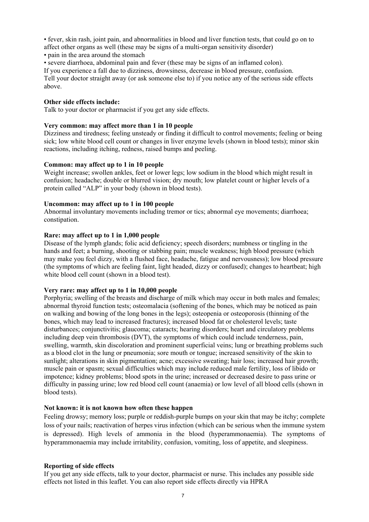• fever, skin rash, joint pain, and abnormalities in blood and liver function tests, that could go on to affect other organs as well (these may be signs of a multi-organ sensitivity disorder)

- pain in the area around the stomach
- severe diarrhoea, abdominal pain and fever (these may be signs of an inflamed colon).

If you experience a fall due to dizziness, drowsiness, decrease in blood pressure, confusion.

Tell your doctor straight away (or ask someone else to) if you notice any of the serious side effects above.

#### **Other side effects include:**

Talk to your doctor or pharmacist if you get any side effects.

#### **Very common: may affect more than 1 in 10 people**

Dizziness and tiredness; feeling unsteady or finding it difficult to control movements; feeling or being sick; low white blood cell count or changes in liver enzyme levels (shown in blood tests); minor skin reactions, including itching, redness, raised bumps and peeling.

#### **Common: may affect up to 1 in 10 people**

Weight increase; swollen ankles, feet or lower legs; low sodium in the blood which might result in confusion; headache; double or blurred vision; dry mouth; low platelet count or higher levels of a protein called "ALP" in your body (shown in blood tests).

#### **Uncommon: may affect up to 1 in 100 people**

Abnormal involuntary movements including tremor or tics; abnormal eye movements; diarrhoea; constipation.

#### **Rare: may affect up to 1 in 1,000 people**

Disease of the lymph glands; folic acid deficiency; speech disorders; numbness or tingling in the hands and feet; a burning, shooting or stabbing pain; muscle weakness; high blood pressure (which may make you feel dizzy, with a flushed face, headache, fatigue and nervousness); low blood pressure (the symptoms of which are feeling faint, light headed, dizzy or confused); changes to heartbeat; high white blood cell count (shown in a blood test).

#### **Very rare: may affect up to 1 in 10,000 people**

Porphyria; swelling of the breasts and discharge of milk which may occur in both males and females; abnormal thyroid function tests; osteomalacia (softening of the bones, which may be noticed as pain on walking and bowing of the long bones in the legs); osteopenia or osteoporosis (thinning of the bones, which may lead to increased fractures); increased blood fat or cholesterol levels; taste disturbances; conjunctivitis; glaucoma; cataracts; hearing disorders; heart and circulatory problems including deep vein thrombosis (DVT), the symptoms of which could include tenderness, pain, swelling, warmth, skin discoloration and prominent superficial veins; lung or breathing problems such as a blood clot in the lung or pneumonia; sore mouth or tongue; increased sensitivity of the skin to sunlight; alterations in skin pigmentation; acne; excessive sweating; hair loss; increased hair growth; muscle pain or spasm; sexual difficulties which may include reduced male fertility, loss of libido or impotence; kidney problems; blood spots in the urine; increased or decreased desire to pass urine or difficulty in passing urine; low red blood cell count (anaemia) or low level of all blood cells (shown in blood tests).

#### **Not known: it is not known how often these happen**

Feeling drowsy; memory loss; purple or reddish-purple bumps on your skin that may be itchy; complete loss of your nails; reactivation of herpes virus infection (which can be serious when the immune system is depressed). High levels of ammonia in the blood (hyperammonaemia). The symptoms of hyperammonaemia may include irritability, confusion, vomiting, loss of appetite, and sleepiness.

#### **Reporting of side effects**

If you get any side effects, talk to your doctor, pharmacist or nurse. This includes any possible side effects not listed in this leaflet. You can also report side effects directly via HPRA